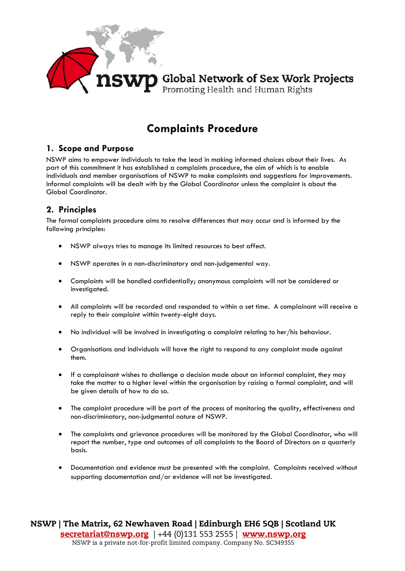

## **Complaints Procedure**

## **1. Scope and Purpose**

NSWP aims to empower individuals to take the lead in making informed choices about their lives. As part of this commitment it has established a complaints procedure, the aim of which is to enable individuals and member organisations of NSWP to make complaints and suggestions for improvements. Informal complaints will be dealt with by the Global Coordinator unless the complaint is about the Global Coordinator.

## **2. Principles**

The formal complaints procedure aims to resolve differences that may occur and is informed by the following principles:

- NSWP always tries to manage its limited resources to best affect.
- NSWP operates in a non-discriminatory and non-judgemental way.
- Complaints will be handled confidentially; anonymous complaints will not be considered or investigated.
- All complaints will be recorded and responded to within a set time. A complainant will receive a reply to their complaint within twenty-eight days.
- No individual will be involved in investigating a complaint relating to her/his behaviour.
- Organisations and individuals will have the right to respond to any complaint made against them.
- If a complainant wishes to challenge a decision made about an informal complaint, they may take the matter to a higher level within the organisation by raising a formal complaint, and will be given details of how to do so.
- The complaint procedure will be part of the process of monitoring the quality, effectiveness and non-discriminatory, non-judgmental nature of NSWP.
- The complaints and grievance procedures will be monitored by the Global Coordinator, who will report the number, type and outcomes of all complaints to the Board of Directors on a quarterly basis.
- Documentation and evidence must be presented with the complaint. Complaints received without supporting documentation and/or evidence will not be investigated.

NSWP | The Matrix, 62 Newhaven Road | Edinburgh EH6 5QB | Scotland UK [secretariat@nswp.org](mailto:secretariat@nswp.org) | +44 (0)131 553 2555 | [www.nswp.org](http://www.nswp.org/) NSWP is a private not-for-profit limited company. Company No. SC349355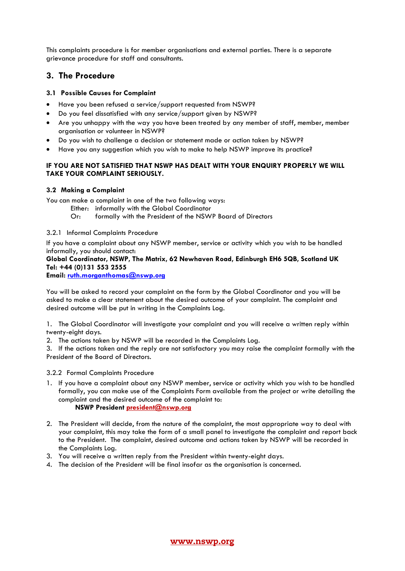This complaints procedure is for member organisations and external parties. There is a separate grievance procedure for staff and consultants.

### **3. The Procedure**

#### **3.1 Possible Causes for Complaint**

- Have you been refused a service/support requested from NSWP?
- Do you feel dissatisfied with any service/support given by NSWP?
- Are you unhappy with the way you have been treated by any member of staff, member, member organisation or volunteer in NSWP?
- Do you wish to challenge a decision or statement made or action taken by NSWP?
- Have you any suggestion which you wish to make to help NSWP improve its practice?

#### **IF YOU ARE NOT SATISFIED THAT NSWP HAS DEALT WITH YOUR ENQUIRY PROPERLY WE WILL TAKE YOUR COMPLAINT SERIOUSLY.**

#### **3.2 Making a Complaint**

You can make a complaint in one of the two following ways:

- Either: informally with the Global Coordinator
- Or: formally with the President of the NSWP Board of Directors

#### 3.2.1 Informal Complaints Procedure

If you have a complaint about any NSWP member, service or activity which you wish to be handled informally, you should contact:

#### **Global Coordinator, NSWP, The Matrix, 62 Newhaven Road, Edinburgh EH6 5QB, Scotland UK Tel: +44 (0)131 553 2555**

**Email: [ruth.morganthomas@nswp.org](mailto:ruth.morganthomas@nswp.org)**

You will be asked to record your complaint on the form by the Global Coordinator and you will be asked to make a clear statement about the desired outcome of your complaint. The complaint and desired outcome will be put in writing in the Complaints Log.

1. The Global Coordinator will investigate your complaint and you will receive a written reply within twenty-eight days.

2. The actions taken by NSWP will be recorded in the Complaints Log.

3. If the actions taken and the reply are not satisfactory you may raise the complaint formally with the President of the Board of Directors.

3.2.2 Formal Complaints Procedure

- 1. If you have a complaint about any NSWP member, service or activity which you wish to be handled formally, you can make use of the Complaints Form available from the project or write detailing the complaint and the desired outcome of the complaint to: **NSWP Presiden[t president@nswp.org](mailto:president@nswp.org)**
- 2. The President will decide, from the nature of the complaint, the most appropriate way to deal with your complaint, this may take the form of a small panel to investigate the complaint and report back to the President. The complaint, desired outcome and actions taken by NSWP will be recorded in the Complaints Log.
- 3. You will receive a written reply from the President within twenty-eight days.
- 4. The decision of the President will be final insofar as the organisation is concerned.

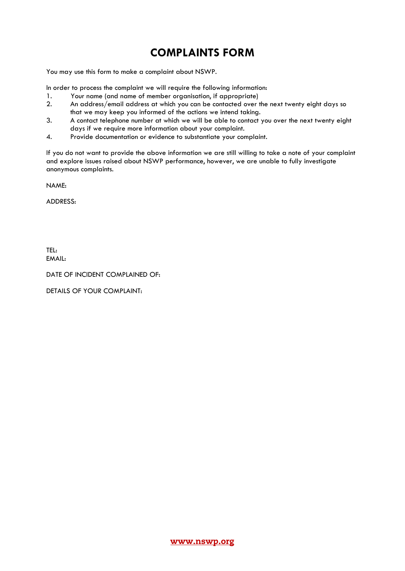# **COMPLAINTS FORM**

You may use this form to make a complaint about NSWP.

In order to process the complaint we will require the following information:

- 1. Your name (and name of member organisation, if appropriate)<br>2. An address/email address at which you can be contacted over
- 2. An address/email address at which you can be contacted over the next twenty eight days so that we may keep you informed of the actions we intend taking.
- 3. A contact telephone number at which we will be able to contact you over the next twenty eight days if we require more information about your complaint.
- 4. Provide documentation or evidence to substantiate your complaint.

If you do not want to provide the above information we are still willing to take a note of your complaint and explore issues raised about NSWP performance, however, we are unable to fully investigate anonymous complaints.

NAME:

ADDRESS:

TEL: EMAIL:

DATE OF INCIDENT COMPLAINED OF:

DETAILS OF YOUR COMPLAINT: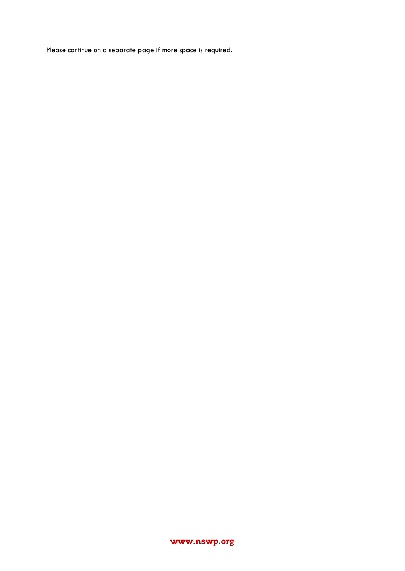Please continue on a separate page if more space is required.